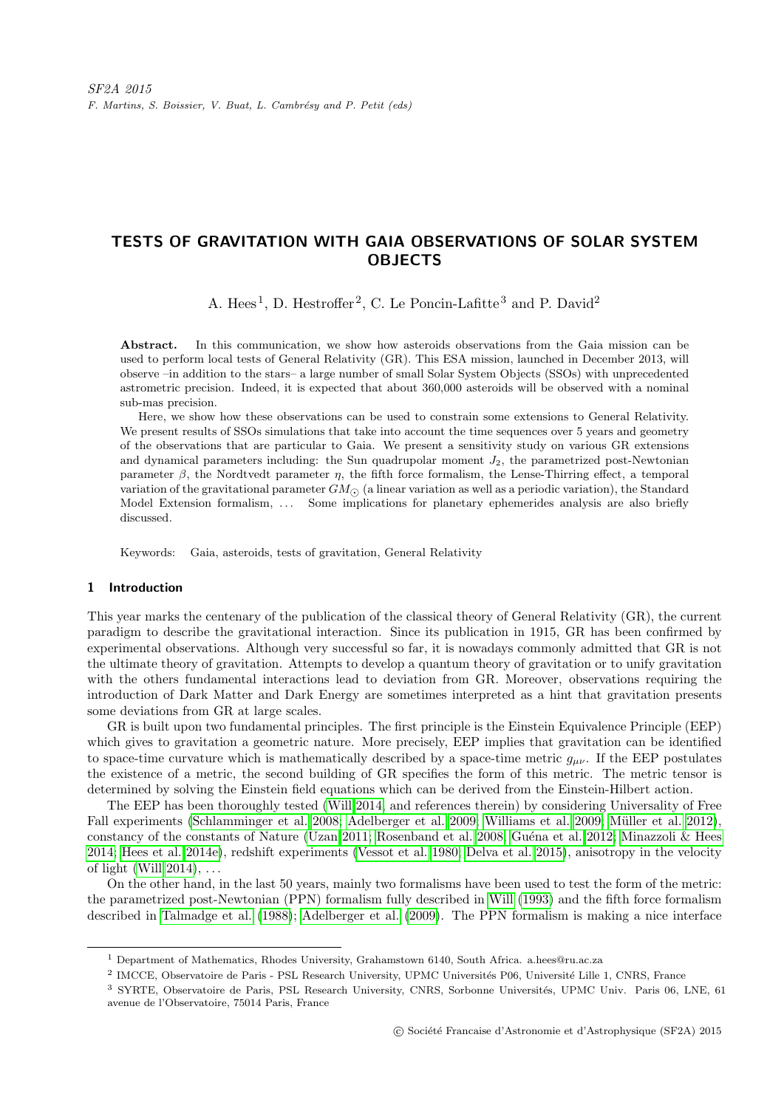# TESTS OF GRAVITATION WITH GAIA OBSERVATIONS OF SOLAR SYSTEM **OBJECTS**

A. Hees<sup>1</sup>, D. Hestroffer<sup>2</sup>, C. Le Poncin-Lafitte<sup>3</sup> and P. David<sup>2</sup>

Abstract. In this communication, we show how asteroids observations from the Gaia mission can be used to perform local tests of General Relativity (GR). This ESA mission, launched in December 2013, will observe –in addition to the stars– a large number of small Solar System Objects (SSOs) with unprecedented astrometric precision. Indeed, it is expected that about 360,000 asteroids will be observed with a nominal sub-mas precision.

Here, we show how these observations can be used to constrain some extensions to General Relativity. We present results of SSOs simulations that take into account the time sequences over 5 years and geometry of the observations that are particular to Gaia. We present a sensitivity study on various GR extensions and dynamical parameters including: the Sun quadrupolar moment  $J_2$ , the parametrized post-Newtonian parameter  $\beta$ , the Nordtvedt parameter  $\eta$ , the fifth force formalism, the Lense-Thirring effect, a temporal variation of the gravitational parameter  $GM_{\odot}$  (a linear variation as well as a periodic variation), the Standard Model Extension formalism, ... Some implications for planetary ephemerides analysis are also briefly discussed.

Keywords: Gaia, asteroids, tests of gravitation, General Relativity

## 1 Introduction

This year marks the centenary of the publication of the classical theory of General Relativity (GR), the current paradigm to describe the gravitational interaction. Since its publication in 1915, GR has been confirmed by experimental observations. Although very successful so far, it is nowadays commonly admitted that GR is not the ultimate theory of gravitation. Attempts to develop a quantum theory of gravitation or to unify gravitation with the others fundamental interactions lead to deviation from GR. Moreover, observations requiring the introduction of Dark Matter and Dark Energy are sometimes interpreted as a hint that gravitation presents some deviations from GR at large scales.

GR is built upon two fundamental principles. The first principle is the Einstein Equivalence Principle (EEP) which gives to gravitation a geometric nature. More precisely, EEP implies that gravitation can be identified to space-time curvature which is mathematically described by a space-time metric  $g_{\mu\nu}$ . If the EEP postulates the existence of a metric, the second building of GR specifies the form of this metric. The metric tensor is determined by solving the Einstein field equations which can be derived from the Einstein-Hilbert action.

The EEP has been thoroughly tested [\(Will 2014,](#page-6-0) and references therein) by considering Universality of Free Fall experiments [\(Schlamminger et al. 2008;](#page-6-1) [Adelberger et al. 2009;](#page-5-0) [Williams et al. 2009;](#page-6-2) Müller et al. 2012), constancy of the constants of Nature [\(Uzan 2011;](#page-6-3) [Rosenband et al. 2008;](#page-6-4) Guéna et al. 2012; [Minazzoli & Hees](#page-5-3) [2014;](#page-5-3) [Hees et al. 2014e\)](#page-5-4), redshift experiments [\(Vessot et al. 1980;](#page-6-5) [Delva et al. 2015\)](#page-5-5), anisotropy in the velocity of light (Will  $2014$ ), ...

On the other hand, in the last 50 years, mainly two formalisms have been used to test the form of the metric: the parametrized post-Newtonian (PPN) formalism fully described in [Will](#page-6-6) [\(1993\)](#page-6-6) and the fifth force formalism described in [Talmadge et al.](#page-6-7) [\(1988\)](#page-6-7); [Adelberger et al.](#page-5-0) [\(2009\)](#page-5-0). The PPN formalism is making a nice interface

<sup>1</sup> Department of Mathematics, Rhodes University, Grahamstown 6140, South Africa. a.hees@ru.ac.za

<sup>&</sup>lt;sup>2</sup> IMCCE, Observatoire de Paris - PSL Research University, UPMC Universités P06, Université Lille 1, CNRS, France

<sup>&</sup>lt;sup>3</sup> SYRTE, Observatoire de Paris, PSL Research University, CNRS, Sorbonne Universités, UPMC Univ. Paris 06, LNE, 61 avenue de l'Observatoire, 75014 Paris, France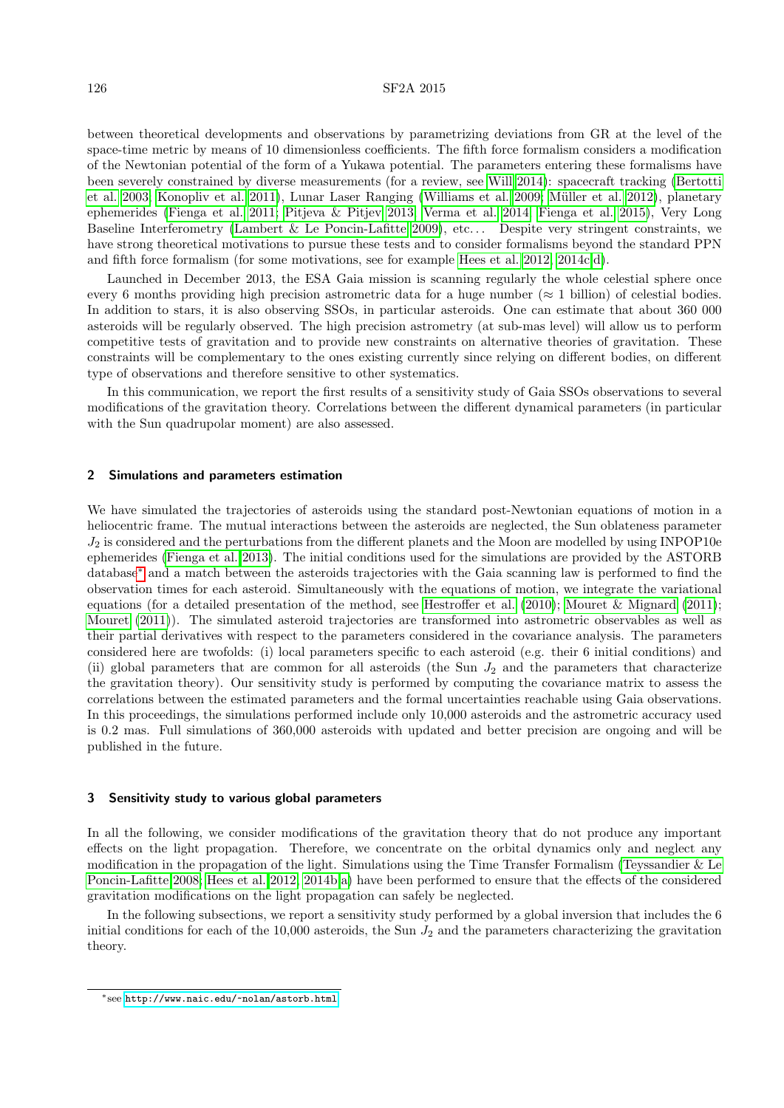## 126 SF2A 2015

between theoretical developments and observations by parametrizing deviations from GR at the level of the space-time metric by means of 10 dimensionless coefficients. The fifth force formalism considers a modification of the Newtonian potential of the form of a Yukawa potential. The parameters entering these formalisms have been severely constrained by diverse measurements (for a review, see [Will 2014\)](#page-6-0): spacecraft tracking [\(Bertotti](#page-5-6) [et al. 2003;](#page-5-6) [Konopliv et al. 2011\)](#page-5-7), Lunar Laser Ranging [\(Williams et al. 2009;](#page-6-2) Müller et al. 2012), planetary ephemerides [\(Fienga et al. 2011;](#page-5-8) [Pitjeva & Pitjev 2013;](#page-5-9) [Verma et al. 2014;](#page-6-8) [Fienga et al. 2015\)](#page-5-10), Very Long Baseline Interferometry [\(Lambert & Le Poncin-Lafitte 2009\)](#page-5-11), etc. . . Despite very stringent constraints, we have strong theoretical motivations to pursue these tests and to consider formalisms beyond the standard PPN and fifth force formalism (for some motivations, see for example [Hees et al. 2012,](#page-5-12) [2014c,](#page-5-13)[d\)](#page-5-14).

Launched in December 2013, the ESA Gaia mission is scanning regularly the whole celestial sphere once every 6 months providing high precision astrometric data for a huge number ( $\approx$  1 billion) of celestial bodies. In addition to stars, it is also observing SSOs, in particular asteroids. One can estimate that about 360 000 asteroids will be regularly observed. The high precision astrometry (at sub-mas level) will allow us to perform competitive tests of gravitation and to provide new constraints on alternative theories of gravitation. These constraints will be complementary to the ones existing currently since relying on different bodies, on different type of observations and therefore sensitive to other systematics.

In this communication, we report the first results of a sensitivity study of Gaia SSOs observations to several modifications of the gravitation theory. Correlations between the different dynamical parameters (in particular with the Sun quadrupolar moment) are also assessed.

#### 2 Simulations and parameters estimation

We have simulated the trajectories of asteroids using the standard post-Newtonian equations of motion in a heliocentric frame. The mutual interactions between the asteroids are neglected, the Sun oblateness parameter  $J_2$  is considered and the perturbations from the different planets and the Moon are modelled by using INPOP10e ephemerides [\(Fienga et al. 2013\)](#page-5-15). The initial conditions used for the simulations are provided by the ASTORB database[∗](#page-1-0) and a match between the asteroids trajectories with the Gaia scanning law is performed to find the observation times for each asteroid. Simultaneously with the equations of motion, we integrate the variational equations (for a detailed presentation of the method, see [Hestroffer et al.](#page-5-16) [\(2010\)](#page-5-16); [Mouret & Mignard](#page-5-17) [\(2011\)](#page-5-17); [Mouret](#page-5-18) [\(2011\)](#page-5-18)). The simulated asteroid trajectories are transformed into astrometric observables as well as their partial derivatives with respect to the parameters considered in the covariance analysis. The parameters considered here are twofolds: (i) local parameters specific to each asteroid (e.g. their 6 initial conditions) and (ii) global parameters that are common for all asteroids (the Sun  $J_2$  and the parameters that characterize the gravitation theory). Our sensitivity study is performed by computing the covariance matrix to assess the correlations between the estimated parameters and the formal uncertainties reachable using Gaia observations. In this proceedings, the simulations performed include only 10,000 asteroids and the astrometric accuracy used is 0.2 mas. Full simulations of 360,000 asteroids with updated and better precision are ongoing and will be published in the future.

## 3 Sensitivity study to various global parameters

In all the following, we consider modifications of the gravitation theory that do not produce any important effects on the light propagation. Therefore, we concentrate on the orbital dynamics only and neglect any modification in the propagation of the light. Simulations using the Time Transfer Formalism [\(Teyssandier & Le](#page-6-9) [Poncin-Lafitte 2008;](#page-6-9) [Hees et al. 2012,](#page-5-12) [2014b](#page-5-19)[,a\)](#page-5-20) have been performed to ensure that the effects of the considered gravitation modifications on the light propagation can safely be neglected.

In the following subsections, we report a sensitivity study performed by a global inversion that includes the 6 initial conditions for each of the 10,000 asteroids, the Sun  $J_2$  and the parameters characterizing the gravitation theory.

<span id="page-1-0"></span><sup>∗</sup>see <http://www.naic.edu/~nolan/astorb.html>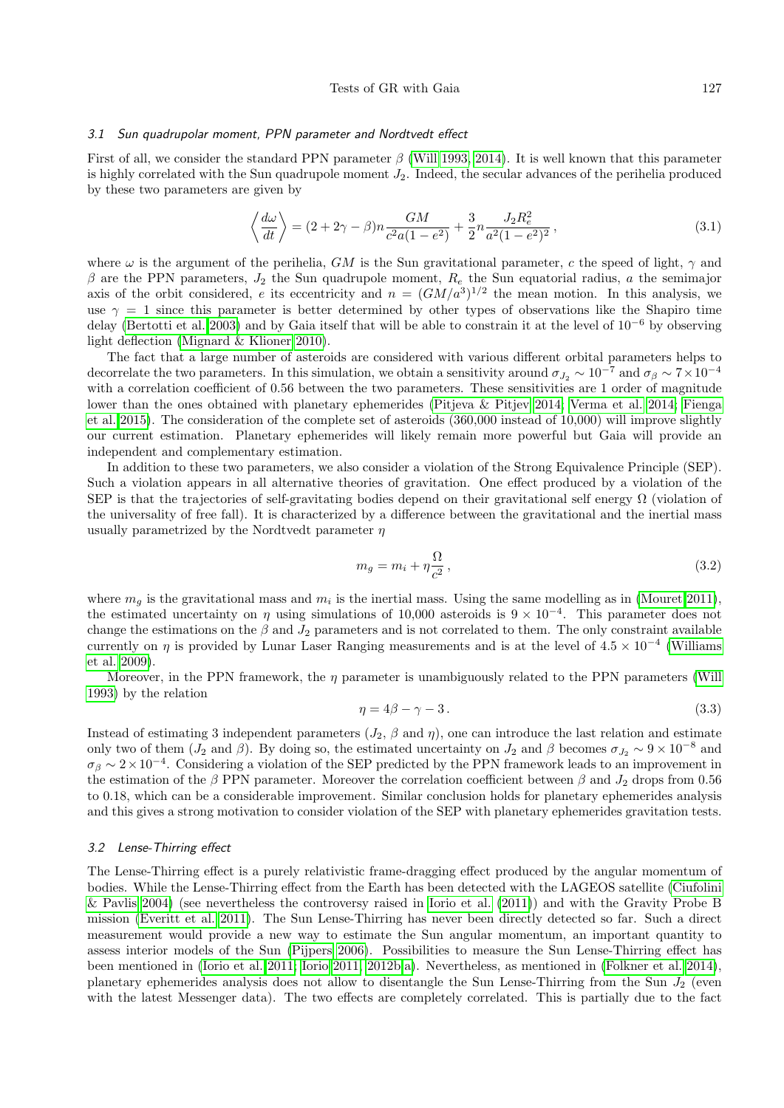#### 3.1 Sun quadrupolar moment, PPN parameter and Nordtvedt effect

First of all, we consider the standard PPN parameter  $\beta$  [\(Will 1993,](#page-6-6) [2014\)](#page-6-0). It is well known that this parameter is highly correlated with the Sun quadrupole moment  $J_2$ . Indeed, the secular advances of the perihelia produced by these two parameters are given by

$$
\left\langle \frac{d\omega}{dt} \right\rangle = (2 + 2\gamma - \beta)n \frac{GM}{c^2 a (1 - e^2)} + \frac{3}{2} n \frac{J_2 R_e^2}{a^2 (1 - e^2)^2},\tag{3.1}
$$

where  $\omega$  is the argument of the perihelia, GM is the Sun gravitational parameter, c the speed of light,  $\gamma$  and  $β$  are the PPN parameters,  $J_2$  the Sun quadrupole moment,  $R_e$  the Sun equatorial radius, a the semimajor axis of the orbit considered, e its eccentricity and  $n = (GM/a^3)^{1/2}$  the mean motion. In this analysis, we use  $\gamma = 1$  since this parameter is better determined by other types of observations like the Shapiro time delay [\(Bertotti et al. 2003\)](#page-5-6) and by Gaia itself that will be able to constrain it at the level of  $10^{-6}$  by observing light deflection [\(Mignard & Klioner 2010\)](#page-5-21).

The fact that a large number of asteroids are considered with various different orbital parameters helps to decorrelate the two parameters. In this simulation, we obtain a sensitivity around  $\sigma_{J_2} \sim 10^{-7}$  and  $\sigma_{\beta} \sim 7 \times 10^{-4}$ with a correlation coefficient of 0.56 between the two parameters. These sensitivities are 1 order of magnitude lower than the ones obtained with planetary ephemerides [\(Pitjeva & Pitjev 2014;](#page-5-22) [Verma et al. 2014;](#page-6-8) [Fienga](#page-5-10) [et al. 2015\)](#page-5-10). The consideration of the complete set of asteroids (360,000 instead of 10,000) will improve slightly our current estimation. Planetary ephemerides will likely remain more powerful but Gaia will provide an independent and complementary estimation.

In addition to these two parameters, we also consider a violation of the Strong Equivalence Principle (SEP). Such a violation appears in all alternative theories of gravitation. One effect produced by a violation of the SEP is that the trajectories of self-gravitating bodies depend on their gravitational self energy  $\Omega$  (violation of the universality of free fall). It is characterized by a difference between the gravitational and the inertial mass usually parametrized by the Nordtvedt parameter  $\eta$ 

$$
m_g = m_i + \eta \frac{\Omega}{c^2},\tag{3.2}
$$

where  $m_g$  is the gravitational mass and  $m_i$  is the inertial mass. Using the same modelling as in [\(Mouret 2011\)](#page-5-18), the estimated uncertainty on  $\eta$  using simulations of 10,000 asteroids is  $9 \times 10^{-4}$ . This parameter does not change the estimations on the  $\beta$  and  $J_2$  parameters and is not correlated to them. The only constraint available currently on  $\eta$  is provided by Lunar Laser Ranging measurements and is at the level of  $4.5 \times 10^{-4}$  [\(Williams](#page-6-2) [et al. 2009\)](#page-6-2).

Moreover, in the PPN framework, the  $\eta$  parameter is unambiguously related to the PPN parameters [\(Will](#page-6-6) [1993\)](#page-6-6) by the relation

$$
\eta = 4\beta - \gamma - 3. \tag{3.3}
$$

Instead of estimating 3 independent parameters  $(J_2, \beta \text{ and } \eta)$ , one can introduce the last relation and estimate only two of them ( $J_2$  and  $\beta$ ). By doing so, the estimated uncertainty on  $J_2$  and  $\beta$  becomes  $\sigma_{J_2} \sim 9 \times 10^{-8}$  and  $\sigma_\beta \sim 2 \times 10^{-4}$ . Considering a violation of the SEP predicted by the PPN framework leads to an improvement in the estimation of the β PPN parameter. Moreover the correlation coefficient between  $\beta$  and  $J_2$  drops from 0.56 to 0.18, which can be a considerable improvement. Similar conclusion holds for planetary ephemerides analysis and this gives a strong motivation to consider violation of the SEP with planetary ephemerides gravitation tests.

#### 3.2 Lense-Thirring effect

The Lense-Thirring effect is a purely relativistic frame-dragging effect produced by the angular momentum of bodies. While the Lense-Thirring effect from the Earth has been detected with the LAGEOS satellite [\(Ciufolini](#page-5-23) [& Pavlis 2004\)](#page-5-23) (see nevertheless the controversy raised in [Iorio et al.](#page-5-24) [\(2011\)](#page-5-24)) and with the Gravity Probe B mission [\(Everitt et al. 2011\)](#page-5-25). The Sun Lense-Thirring has never been directly detected so far. Such a direct measurement would provide a new way to estimate the Sun angular momentum, an important quantity to assess interior models of the Sun [\(Pijpers 2006\)](#page-5-26). Possibilities to measure the Sun Lense-Thirring effect has been mentioned in [\(Iorio et al. 2011;](#page-5-24) [Iorio 2011,](#page-5-27) [2012b](#page-5-28)[,a\)](#page-5-29). Nevertheless, as mentioned in [\(Folkner et al. 2014\)](#page-5-30), planetary ephemerides analysis does not allow to disentangle the Sun Lense-Thirring from the Sun  $J_2$  (even with the latest Messenger data). The two effects are completely correlated. This is partially due to the fact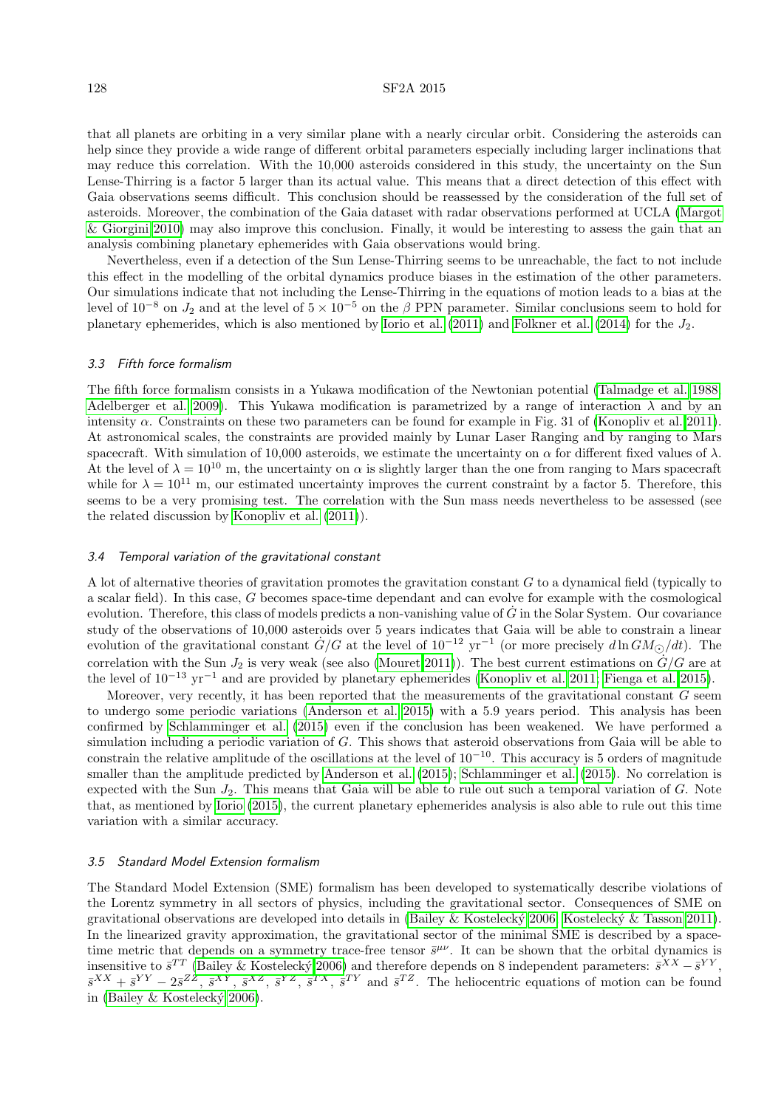## 128 SF2A 2015

that all planets are orbiting in a very similar plane with a nearly circular orbit. Considering the asteroids can help since they provide a wide range of different orbital parameters especially including larger inclinations that may reduce this correlation. With the 10,000 asteroids considered in this study, the uncertainty on the Sun Lense-Thirring is a factor 5 larger than its actual value. This means that a direct detection of this effect with Gaia observations seems difficult. This conclusion should be reassessed by the consideration of the full set of asteroids. Moreover, the combination of the Gaia dataset with radar observations performed at UCLA [\(Margot](#page-5-31) [& Giorgini 2010\)](#page-5-31) may also improve this conclusion. Finally, it would be interesting to assess the gain that an analysis combining planetary ephemerides with Gaia observations would bring.

Nevertheless, even if a detection of the Sun Lense-Thirring seems to be unreachable, the fact to not include this effect in the modelling of the orbital dynamics produce biases in the estimation of the other parameters. Our simulations indicate that not including the Lense-Thirring in the equations of motion leads to a bias at the level of  $10^{-8}$  on  $J_2$  and at the level of  $5 \times 10^{-5}$  on the  $\beta$  PPN parameter. Similar conclusions seem to hold for planetary ephemerides, which is also mentioned by [Iorio et al.](#page-5-24) [\(2011\)](#page-5-24) and [Folkner et al.](#page-5-30) [\(2014\)](#page-5-30) for the J2.

#### 3.3 Fifth force formalism

The fifth force formalism consists in a Yukawa modification of the Newtonian potential [\(Talmadge et al. 1988;](#page-6-7) [Adelberger et al. 2009\)](#page-5-0). This Yukawa modification is parametrized by a range of interaction  $\lambda$  and by an intensity  $\alpha$ . Constraints on these two parameters can be found for example in Fig. 31 of [\(Konopliv et al. 2011\)](#page-5-7). At astronomical scales, the constraints are provided mainly by Lunar Laser Ranging and by ranging to Mars spacecraft. With simulation of 10,000 asteroids, we estimate the uncertainty on  $\alpha$  for different fixed values of  $\lambda$ . At the level of  $\lambda = 10^{10}$  m, the uncertainty on  $\alpha$  is slightly larger than the one from ranging to Mars spacecraft while for  $\lambda = 10^{11}$  m, our estimated uncertainty improves the current constraint by a factor 5. Therefore, this seems to be a very promising test. The correlation with the Sun mass needs nevertheless to be assessed (see the related discussion by [Konopliv et al.](#page-5-7) [\(2011\)](#page-5-7)).

#### 3.4 Temporal variation of the gravitational constant

A lot of alternative theories of gravitation promotes the gravitation constant G to a dynamical field (typically to a scalar field). In this case, G becomes space-time dependant and can evolve for example with the cosmological evolution. Therefore, this class of models predicts a non-vanishing value of  $\dot{G}$  in the Solar System. Our covariance study of the observations of 10,000 asteroids over 5 years indicates that Gaia will be able to constrain a linear evolution of the gravitational constant  $\dot{G}/G$  at the level of  $10^{-12}$  yr<sup>-1</sup> (or more precisely  $d\ln GM_{\odot}/dt$ ). The correlation with the Sun  $J_2$  is very weak (see also [\(Mouret 2011\)](#page-5-18)). The best current estimations on  $\dot{G}/G$  are at the level of 10<sup>−</sup><sup>13</sup> yr<sup>−</sup><sup>1</sup> and are provided by planetary ephemerides [\(Konopliv et al. 2011;](#page-5-7) [Fienga et al. 2015\)](#page-5-10).

Moreover, very recently, it has been reported that the measurements of the gravitational constant  $G$  seem to undergo some periodic variations [\(Anderson et al. 2015\)](#page-5-32) with a 5.9 years period. This analysis has been confirmed by [Schlamminger et al.](#page-6-10) [\(2015\)](#page-6-10) even if the conclusion has been weakened. We have performed a simulation including a periodic variation of G. This shows that asteroid observations from Gaia will be able to constrain the relative amplitude of the oscillations at the level of  $10^{-10}$ . This accuracy is 5 orders of magnitude smaller than the amplitude predicted by [Anderson et al.](#page-5-32) [\(2015\)](#page-5-32); [Schlamminger et al.](#page-6-10) [\(2015\)](#page-6-10). No correlation is expected with the Sun  $J_2$ . This means that Gaia will be able to rule out such a temporal variation of G. Note that, as mentioned by [Iorio](#page-5-33) [\(2015\)](#page-5-33), the current planetary ephemerides analysis is also able to rule out this time variation with a similar accuracy.

## 3.5 Standard Model Extension formalism

The Standard Model Extension (SME) formalism has been developed to systematically describe violations of the Lorentz symmetry in all sectors of physics, including the gravitational sector. Consequences of SME on gravitational observations are developed into details in [\(Bailey & Kosteleck´y 2006;](#page-5-34) [Kosteleck´y & Tasson 2011\)](#page-5-35). In the linearized gravity approximation, the gravitational sector of the minimal SME is described by a spacetime metric that depends on a symmetry trace-free tensor  $\bar{s}^{\mu\nu}$ . It can be shown that the orbital dynamics is insensitive to  $\bar{s}^{TT}$  (Bailey & Kostelecký 2006) and therefore depends on 8 independent parameters:  $\bar{s}^{XX} - \bar{s}^{YY}$ ,  $\bar{s}^{XX}+\bar{s}^{YY}-2\bar{s}^{ZZ}, \bar{s}^{XY}, \bar{s}^{XZ}, \bar{s}^{YZ}, \bar{s}^{TX}, \bar{s}^{TY}$  and  $\bar{s}^{TZ}$ . The heliocentric equations of motion can be found in (Bailey  $\&$  Kostelecký 2006).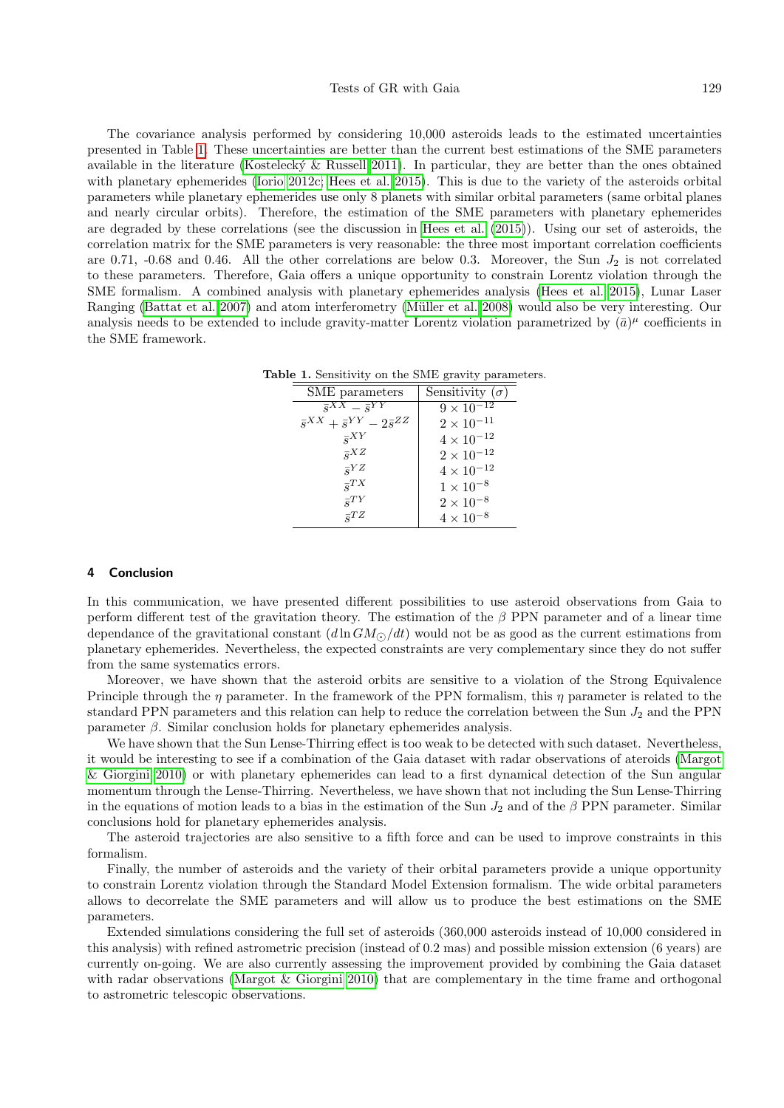#### Tests of GR with Gaia 129

The covariance analysis performed by considering 10,000 asteroids leads to the estimated uncertainties presented in Table [1.](#page-4-0) These uncertainties are better than the current best estimations of the SME parameters available in the literature (Kostelecký  $\&$  Russell 2011). In particular, they are better than the ones obtained with planetary ephemerides [\(Iorio 2012c;](#page-5-37) [Hees et al. 2015\)](#page-5-38). This is due to the variety of the asteroids orbital parameters while planetary ephemerides use only 8 planets with similar orbital parameters (same orbital planes and nearly circular orbits). Therefore, the estimation of the SME parameters with planetary ephemerides are degraded by these correlations (see the discussion in [Hees et al.](#page-5-38) [\(2015\)](#page-5-38)). Using our set of asteroids, the correlation matrix for the SME parameters is very reasonable: the three most important correlation coefficients are 0.71, -0.68 and 0.46. All the other correlations are below 0.3. Moreover, the Sun  $J_2$  is not correlated to these parameters. Therefore, Gaia offers a unique opportunity to constrain Lorentz violation through the SME formalism. A combined analysis with planetary ephemerides analysis [\(Hees et al. 2015\)](#page-5-38), Lunar Laser Ranging [\(Battat et al. 2007\)](#page-5-39) and atom interferometry [\(M¨uller et al. 2008\)](#page-5-40) would also be very interesting. Our analysis needs to be extended to include gravity-matter Lorentz violation parametrized by  $(\bar{a})^{\mu}$  coefficients in the SME framework.

<span id="page-4-0"></span>

| SME parameters                                               | Sensitivity $(\sigma)$ |
|--------------------------------------------------------------|------------------------|
| $\overline{s}^{XX} = \overline{s}^{YY}$                      | $9 \times 10^{-12}$    |
| $\overline{s}^{XX} + \overline{s}^{YY} - 2\overline{s}^{ZZ}$ | $2 \times 10^{-11}$    |
| $\overline{s}^{XY}$                                          | $4 \times 10^{-12}$    |
| $\overline{s}^{XZ}$                                          | $2 \times 10^{-12}$    |
| $\overline{s}^{YZ}$                                          | $4 \times 10^{-12}$    |
| $\overline{s}^{TX}$                                          | $1 \times 10^{-8}$     |
| $\overline{s}^{TY}$                                          | $2\times10^{-8}$       |
| $\overline{s}^{TZ}$                                          | $4 \times 10^{-8}$     |

Table 1. Sensitivity on the SME gravity parameters.

## 4 Conclusion

In this communication, we have presented different possibilities to use asteroid observations from Gaia to perform different test of the gravitation theory. The estimation of the  $\beta$  PPN parameter and of a linear time dependance of the gravitational constant  $(d \ln GM_{\odot}/dt)$  would not be as good as the current estimations from planetary ephemerides. Nevertheless, the expected constraints are very complementary since they do not suffer from the same systematics errors.

Moreover, we have shown that the asteroid orbits are sensitive to a violation of the Strong Equivalence Principle through the  $\eta$  parameter. In the framework of the PPN formalism, this  $\eta$  parameter is related to the standard PPN parameters and this relation can help to reduce the correlation between the Sun  $J_2$  and the PPN parameter  $\beta$ . Similar conclusion holds for planetary ephemerides analysis.

We have shown that the Sun Lense-Thirring effect is too weak to be detected with such dataset. Nevertheless, it would be interesting to see if a combination of the Gaia dataset with radar observations of ateroids [\(Margot](#page-5-31) [& Giorgini 2010\)](#page-5-31) or with planetary ephemerides can lead to a first dynamical detection of the Sun angular momentum through the Lense-Thirring. Nevertheless, we have shown that not including the Sun Lense-Thirring in the equations of motion leads to a bias in the estimation of the Sun  $J_2$  and of the β PPN parameter. Similar conclusions hold for planetary ephemerides analysis.

The asteroid trajectories are also sensitive to a fifth force and can be used to improve constraints in this formalism.

Finally, the number of asteroids and the variety of their orbital parameters provide a unique opportunity to constrain Lorentz violation through the Standard Model Extension formalism. The wide orbital parameters allows to decorrelate the SME parameters and will allow us to produce the best estimations on the SME parameters.

Extended simulations considering the full set of asteroids (360,000 asteroids instead of 10,000 considered in this analysis) with refined astrometric precision (instead of 0.2 mas) and possible mission extension (6 years) are currently on-going. We are also currently assessing the improvement provided by combining the Gaia dataset with radar observations [\(Margot & Giorgini 2010\)](#page-5-31) that are complementary in the time frame and orthogonal to astrometric telescopic observations.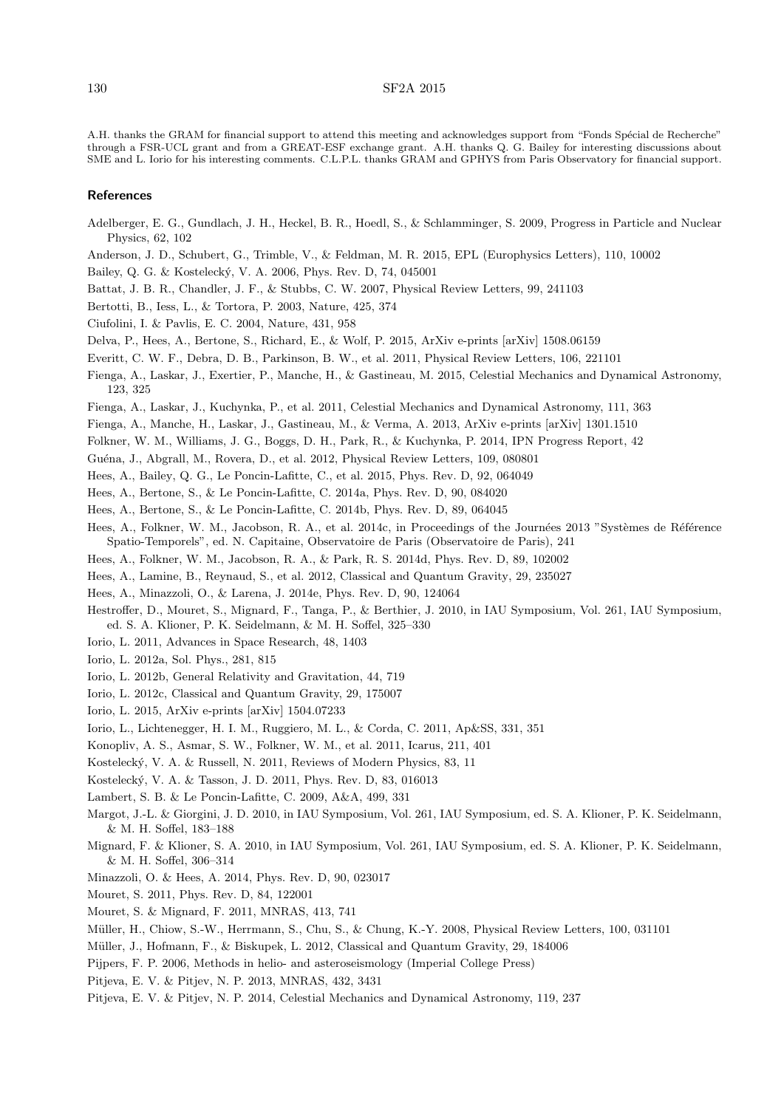A.H. thanks the GRAM for financial support to attend this meeting and acknowledges support from "Fonds Spécial de Recherche" through a FSR-UCL grant and from a GREAT-ESF exchange grant. A.H. thanks Q. G. Bailey for interesting discussions about SME and L. Iorio for his interesting comments. C.L.P.L. thanks GRAM and GPHYS from Paris Observatory for financial support.

#### References

- <span id="page-5-0"></span>Adelberger, E. G., Gundlach, J. H., Heckel, B. R., Hoedl, S., & Schlamminger, S. 2009, Progress in Particle and Nuclear Physics, 62, 102
- <span id="page-5-32"></span>Anderson, J. D., Schubert, G., Trimble, V., & Feldman, M. R. 2015, EPL (Europhysics Letters), 110, 10002
- <span id="page-5-34"></span>Bailey, Q. G. & Kosteleck´y, V. A. 2006, Phys. Rev. D, 74, 045001
- <span id="page-5-39"></span>Battat, J. B. R., Chandler, J. F., & Stubbs, C. W. 2007, Physical Review Letters, 99, 241103
- <span id="page-5-6"></span>Bertotti, B., Iess, L., & Tortora, P. 2003, Nature, 425, 374
- <span id="page-5-23"></span>Ciufolini, I. & Pavlis, E. C. 2004, Nature, 431, 958
- <span id="page-5-5"></span>Delva, P., Hees, A., Bertone, S., Richard, E., & Wolf, P. 2015, ArXiv e-prints [arXiv] 1508.06159
- <span id="page-5-25"></span>Everitt, C. W. F., Debra, D. B., Parkinson, B. W., et al. 2011, Physical Review Letters, 106, 221101
- <span id="page-5-10"></span>Fienga, A., Laskar, J., Exertier, P., Manche, H., & Gastineau, M. 2015, Celestial Mechanics and Dynamical Astronomy, 123, 325
- <span id="page-5-8"></span>Fienga, A., Laskar, J., Kuchynka, P., et al. 2011, Celestial Mechanics and Dynamical Astronomy, 111, 363
- <span id="page-5-15"></span>Fienga, A., Manche, H., Laskar, J., Gastineau, M., & Verma, A. 2013, ArXiv e-prints [arXiv] 1301.1510
- <span id="page-5-30"></span>Folkner, W. M., Williams, J. G., Boggs, D. H., Park, R., & Kuchynka, P. 2014, IPN Progress Report, 42

<span id="page-5-2"></span>Gu´ena, J., Abgrall, M., Rovera, D., et al. 2012, Physical Review Letters, 109, 080801

- <span id="page-5-38"></span>Hees, A., Bailey, Q. G., Le Poncin-Lafitte, C., et al. 2015, Phys. Rev. D, 92, 064049
- <span id="page-5-20"></span>Hees, A., Bertone, S., & Le Poncin-Lafitte, C. 2014a, Phys. Rev. D, 90, 084020
- <span id="page-5-19"></span>Hees, A., Bertone, S., & Le Poncin-Lafitte, C. 2014b, Phys. Rev. D, 89, 064045
- <span id="page-5-13"></span>Hees, A., Folkner, W. M., Jacobson, R. A., et al. 2014c, in Proceedings of the Journées 2013 "Systèmes de Référence Spatio-Temporels", ed. N. Capitaine, Observatoire de Paris (Observatoire de Paris), 241
- <span id="page-5-14"></span>Hees, A., Folkner, W. M., Jacobson, R. A., & Park, R. S. 2014d, Phys. Rev. D, 89, 102002
- <span id="page-5-12"></span>Hees, A., Lamine, B., Reynaud, S., et al. 2012, Classical and Quantum Gravity, 29, 235027
- <span id="page-5-4"></span>Hees, A., Minazzoli, O., & Larena, J. 2014e, Phys. Rev. D, 90, 124064
- <span id="page-5-16"></span>Hestroffer, D., Mouret, S., Mignard, F., Tanga, P., & Berthier, J. 2010, in IAU Symposium, Vol. 261, IAU Symposium, ed. S. A. Klioner, P. K. Seidelmann, & M. H. Soffel, 325–330
- <span id="page-5-27"></span>Iorio, L. 2011, Advances in Space Research, 48, 1403
- <span id="page-5-29"></span>Iorio, L. 2012a, Sol. Phys., 281, 815
- <span id="page-5-28"></span>Iorio, L. 2012b, General Relativity and Gravitation, 44, 719
- <span id="page-5-37"></span>Iorio, L. 2012c, Classical and Quantum Gravity, 29, 175007
- <span id="page-5-33"></span>Iorio, L. 2015, ArXiv e-prints [arXiv] 1504.07233
- <span id="page-5-24"></span>Iorio, L., Lichtenegger, H. I. M., Ruggiero, M. L., & Corda, C. 2011, Ap&SS, 331, 351
- <span id="page-5-7"></span>Konopliv, A. S., Asmar, S. W., Folkner, W. M., et al. 2011, Icarus, 211, 401
- <span id="page-5-36"></span>Kosteleck´y, V. A. & Russell, N. 2011, Reviews of Modern Physics, 83, 11
- <span id="page-5-35"></span>Kosteleck´y, V. A. & Tasson, J. D. 2011, Phys. Rev. D, 83, 016013
- <span id="page-5-11"></span>Lambert, S. B. & Le Poncin-Lafitte, C. 2009, A&A, 499, 331
- <span id="page-5-31"></span>Margot, J.-L. & Giorgini, J. D. 2010, in IAU Symposium, Vol. 261, IAU Symposium, ed. S. A. Klioner, P. K. Seidelmann, & M. H. Soffel, 183–188
- <span id="page-5-21"></span>Mignard, F. & Klioner, S. A. 2010, in IAU Symposium, Vol. 261, IAU Symposium, ed. S. A. Klioner, P. K. Seidelmann, & M. H. Soffel, 306–314
- <span id="page-5-3"></span>Minazzoli, O. & Hees, A. 2014, Phys. Rev. D, 90, 023017
- <span id="page-5-18"></span>Mouret, S. 2011, Phys. Rev. D, 84, 122001
- <span id="page-5-17"></span>Mouret, S. & Mignard, F. 2011, MNRAS, 413, 741
- <span id="page-5-40"></span>Müller, H., Chiow, S.-W., Herrmann, S., Chu, S., & Chung, K.-Y. 2008, Physical Review Letters, 100, 031101
- <span id="page-5-1"></span>Müller, J., Hofmann, F., & Biskupek, L. 2012, Classical and Quantum Gravity, 29, 184006
- <span id="page-5-26"></span>Pijpers, F. P. 2006, Methods in helio- and asteroseismology (Imperial College Press)
- <span id="page-5-9"></span>Pitjeva, E. V. & Pitjev, N. P. 2013, MNRAS, 432, 3431
- <span id="page-5-22"></span>Pitjeva, E. V. & Pitjev, N. P. 2014, Celestial Mechanics and Dynamical Astronomy, 119, 237